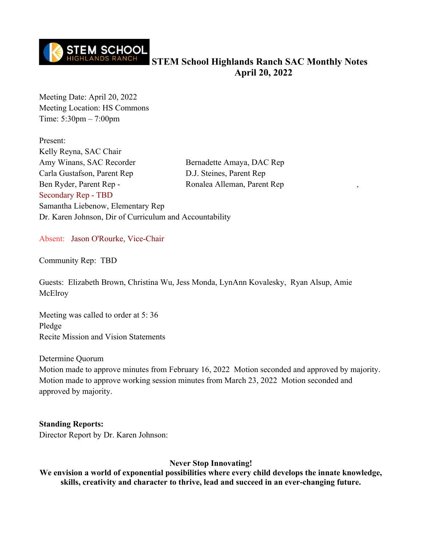

**STEM School Highlands Ranch SAC Monthly Notes April 20, 2022**

Meeting Date: April 20, 2022 Meeting Location: HS Commons Time: 5:30pm – 7:00pm

Present: Kelly Reyna, SAC Chair Amy Winans, SAC Recorder Bernadette Amaya, DAC Rep Carla Gustafson, Parent Rep D.J. Steines, Parent Rep Ben Ryder, Parent Rep - Ronalea Alleman, Parent Rep Secondary Rep - TBD Samantha Liebenow, Elementary Rep Dr. Karen Johnson, Dir of Curriculum and Accountability

Absent: Jason O'Rourke, Vice-Chair

Community Rep: TBD

Guests: Elizabeth Brown, Christina Wu, Jess Monda, LynAnn Kovalesky, Ryan Alsup, Amie **McElroy** 

Meeting was called to order at 5: 36 Pledge Recite Mission and Vision Statements

Determine Quorum

Motion made to approve minutes from February 16, 2022 Motion seconded and approved by majority. Motion made to approve working session minutes from March 23, 2022 Motion seconded and approved by majority.

### **Standing Reports:**

Director Report by Dr. Karen Johnson:

#### **Never Stop Innovating!**

**We envision a world of exponential possibilities where every child develops the innate knowledge, skills, creativity and character to thrive, lead and succeed in an ever-changing future.**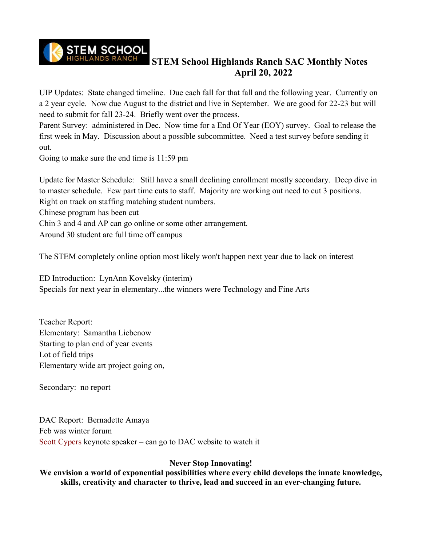

# **STEM School Highlands Ranch SAC Monthly Notes April 20, 2022**

UIP Updates: State changed timeline. Due each fall for that fall and the following year. Currently on a 2 year cycle. Now due August to the district and live in September. We are good for 22-23 but will need to submit for fall 23-24. Briefly went over the process.

Parent Survey: administered in Dec. Now time for a End Of Year (EOY) survey. Goal to release the first week in May. Discussion about a possible subcommittee. Need a test survey before sending it out.

Going to make sure the end time is 11:59 pm

Update for Master Schedule: Still have a small declining enrollment mostly secondary. Deep dive in to master schedule. Few part time cuts to staff. Majority are working out need to cut 3 positions. Right on track on staffing matching student numbers.

Chinese program has been cut

Chin 3 and 4 and AP can go online or some other arrangement.

Around 30 student are full time off campus

The STEM completely online option most likely won't happen next year due to lack on interest

ED Introduction: LynAnn Kovelsky (interim) Specials for next year in elementary...the winners were Technology and Fine Arts

Teacher Report: Elementary: Samantha Liebenow Starting to plan end of year events Lot of field trips Elementary wide art project going on,

Secondary: no report

DAC Report: Bernadette Amaya Feb was winter forum Scott Cypers keynote speaker – can go to DAC website to watch it

# **Never Stop Innovating!**

**We envision a world of exponential possibilities where every child develops the innate knowledge, skills, creativity and character to thrive, lead and succeed in an ever-changing future.**